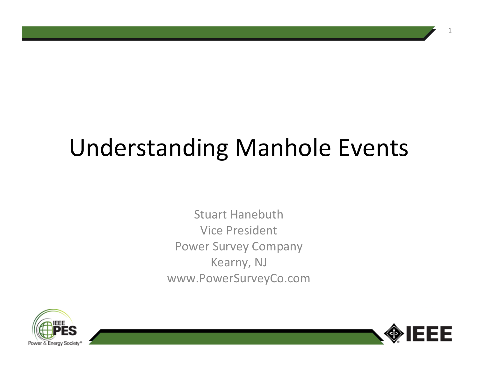# Understanding Manhole Events

Stuart Hanebuth Vice PresidentPower Survey CompanyKearny, NJwww.PowerSurveyCo.com



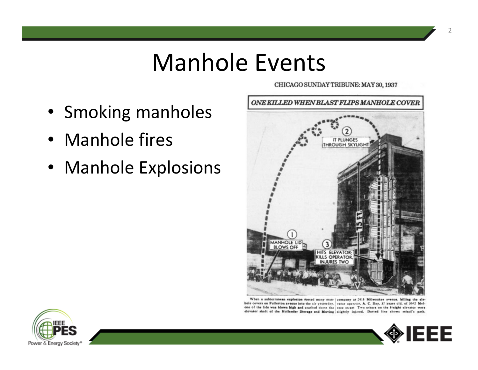#### Manhole Events

- Smoking manholes
- Manhole fires
- Manhole Explosions



CHICAGO SUNDAY TRIBUNE: MAY 30, 1937

When a subterranean explosion rossed many man-| company at 2418 Milwaukee avenue, killing the elehole covers on Fullerton avenue into the air yesterday. vator operator, A. C. Day, 37 years old, of 3642 Melone of the lids was blown high and crashed down the rose street Two others on the freight elevator were elevator shaft of the Hollander Storage and Moving slightly injired. Dotted line shows missil's path.



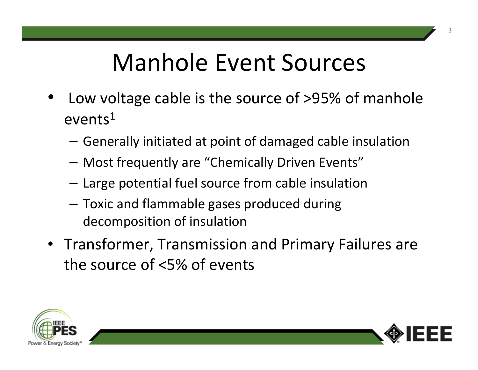## Manhole Event Sources

- • Low voltage cable is the source of >95% of manhole events $^{\rm 1}$ 
	- – $-$  Generally initiated at point of damaged cable insulation
	- –Most frequently are "Chemically Driven Events"
	- – $-$  Large potential fuel source from cable insulation
	- – Toxic and flammable gases produced during decomposition of insulation
- Transformer, Transmission and Primary Failures are the source of <5% of events



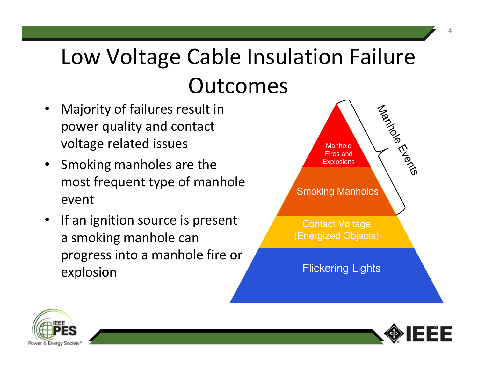## Low Voltage Cable Insulation Failure Outcomes

- • Majority of failures result in power quality and contact voltage related issues
- Smoking manholes are the most frequent type of manhole event
- If an ignition source is present a smoking manhole can progress into a manhole fire or explosion





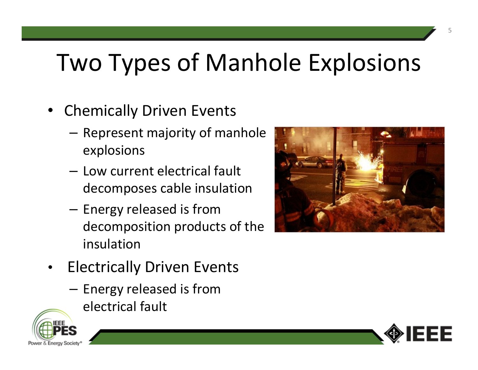## Two Types of Manhole Explosions

- • Chemically Driven Events
	- – $-$  Represent majority of manhole explosions
	- **Links of the Common** - Low current electrical fault decomposes cable insulation
	- –- Energy released is from decomposition products of the insulation



- • Electrically Driven Events
	- –- Energy released is from electrical fault



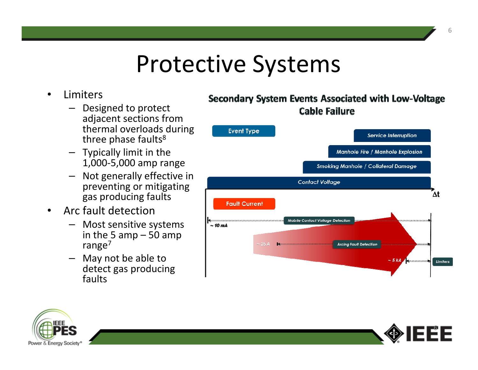#### Protective Systems

- • Limiters
	- Designed to protect adjacent sections from thermal overloads during three phase faults<sup>8</sup>
	- Typically limit in the 1,000-5,000 amp range
	- Not generally effective in preventing or mitigating gas producing faults
- • Arc fault detection
	- Most sensitive systems –in the 5 amp  $-50$  amp range<sup>7</sup>
	- May not be able to detect gas producing faults







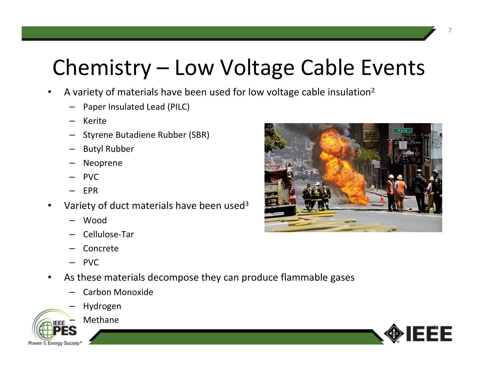#### Chemistry – Low Voltage Cable Events

- •**•** A variety of materials have been used for low voltage cable insulation<sup>2</sup>
	- Paper Insulated Lead (PILC)
	- Kerite
	- Styrene Butadiene Rubber (SBR)
	- –Butyl Rubber
	- –Neoprene
	- PVC
	- EPR
- •• Variety of duct materials have been used<sup>3</sup>
	- Wood
	- –Cellulose-Tar
	- –Concrete
	- PVC
- $\bullet$  As these materials decompose they can produce flammable gases
	- –Carbon Monoxide
	- –Hydrogen



Methane



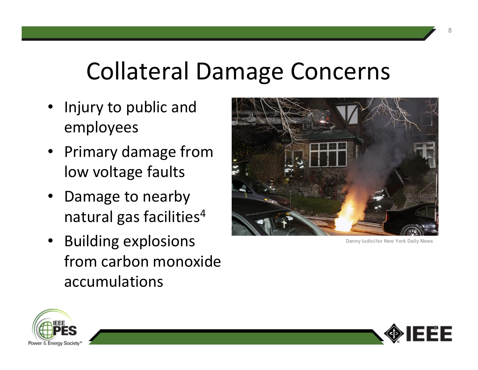### Collateral Damage Concerns

- Injury to public and employees
- Primary damage from low voltage faults
- Damage to nearby natural gas facilities ${}^4$
- Building explosions from carbon monoxide accumulations



**Danny Iudici/for New York Daily News**



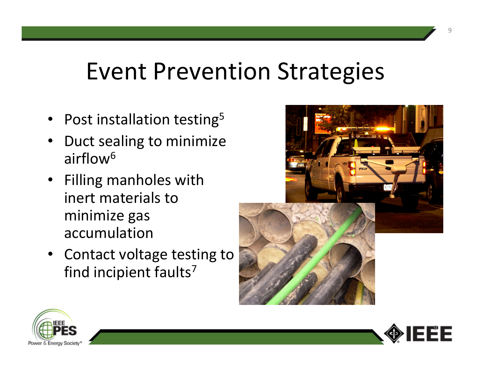#### Event Prevention Strategies

- •• Post installation testing<sup>5</sup>
- • Duct sealing to minimize airflow<sup>6</sup>
- Filling manholes with inert materials to minimize gas accumulation
- Contact voltage testing to find incipient faults<sup>7</sup>





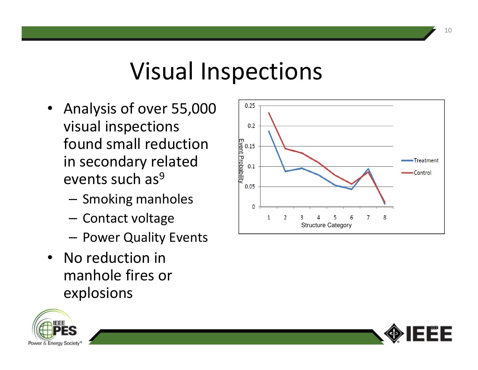### Visual Inspections

- Analysis of over 55,000 visual inspections found small reduction in secondary related events such as<sup>9</sup>
	- – $-$  Smoking manholes
	- $-$  Contact voltage
	- $-$  Power Quality Events
- No reduction in manhole fires or explosions





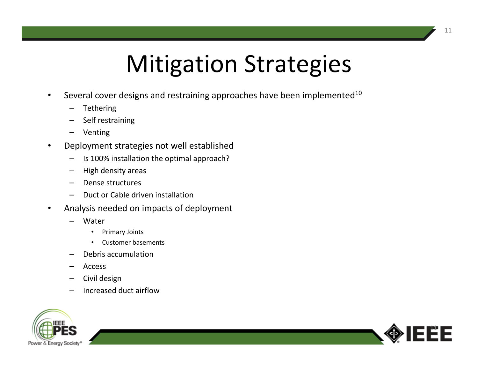## Mitigation Strategies

- •Several cover designs and restraining approaches have been implemented<sup>10</sup>
	- –Tethering
	- Self restraining
	- Venting
- • Deployment strategies not well established
	- Is 100% installation the optimal approach?
	- High density areas
	- Dense structures
	- Duct or Cable driven installation
- • Analysis needed on impacts of deployment
	- Water
		- Primary Joints
		- •Customer basements
	- Debris accumulation
	- Access
	- Civil design
	- Increased duct airflow



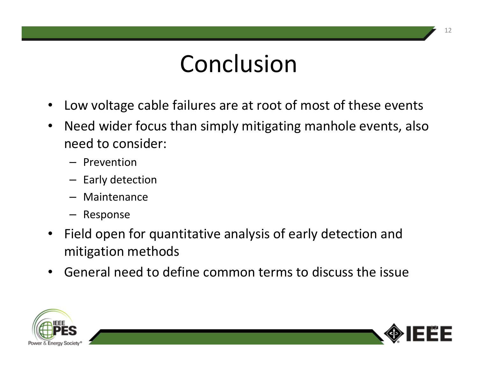### Conclusion

- $\bullet$ Low voltage cable failures are at root of most of these events
- $\bullet$  Need wider focus than simply mitigating manhole events, also need to consider:
	- Prevention
	- Early detection
	- Maintenance
	- Response
- Field open for quantitative analysis of early detection and mitigation methods
- $\bullet$ General need to define common terms to discuss the issue